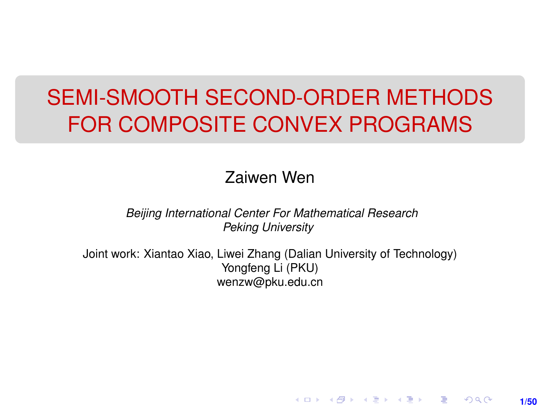# SEMI-SMOOTH SECOND-ORDER METHODS FOR COMPOSITE CONVEX PROGRAMS

#### Zaiwen Wen

*Beijing International Center For Mathematical Research Peking University*

Joint work: Xiantao Xiao, Liwei Zhang (Dalian University of Technology) Yongfeng Li (PKU) wenzw@pku.edu.cn

**1/50**

K ロ ▶ K 레 ▶ K 회 ▶ K 회 ▶ │ 회 │ ⊙ Q Q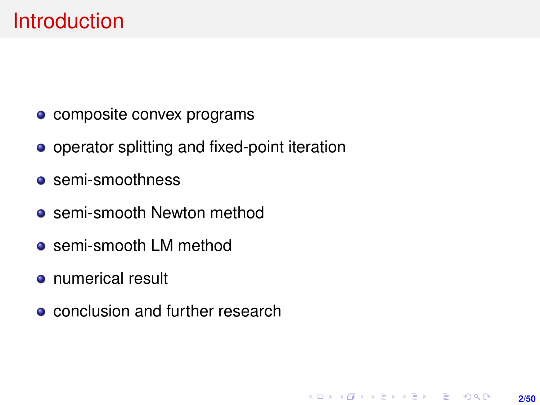### **Introduction**

- composite convex programs
- operator splitting and fixed-point iteration
- **o** semi-smoothness
- **•** semi-smooth Newton method
- semi-smooth LM method
- numerical result
- **conclusion and further research**

**2/50**

**KORKARK (EXIST) E MOOR**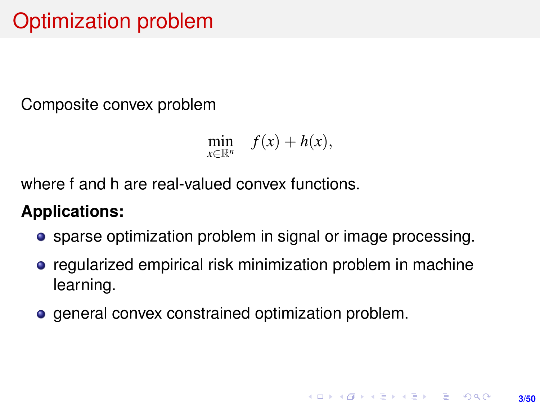Composite convex problem

$$
\min_{x\in\mathbb{R}^n} f(x) + h(x),
$$

where f and h are real-valued convex functions.

### **Applications:**

- **•** sparse optimization problem in signal or image processing.
- **•** regularized empirical risk minimization problem in machine learning.
- general convex constrained optimization problem.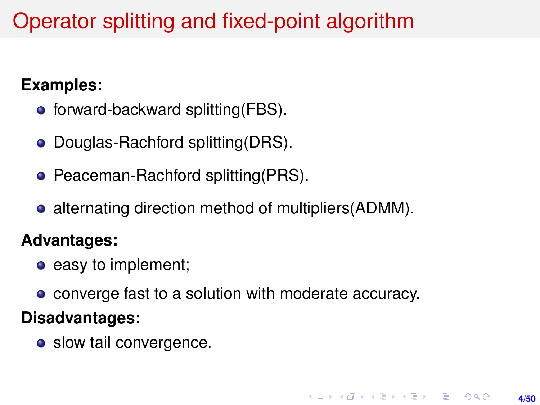# Operator splitting and fixed-point algorithm

### **Examples:**

- $\bullet$  forward-backward splitting(FBS).
- Douglas-Rachford splitting(DRS).
- Peaceman-Rachford splitting(PRS).
- alternating direction method of multipliers (ADMM).

#### **Advantages:**

- easy to implement;
- converge fast to a solution with moderate accuracy.

#### **Disadvantages:**

• slow tail convergence.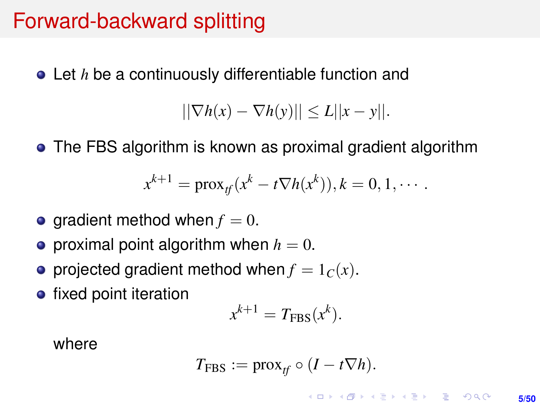## Forward-backward splitting

Let *h* be a continuously differentiable function and

 $||\nabla h(x) - \nabla h(y)|| \leq L||x - y||.$ 

The FBS algorithm is known as proximal gradient algorithm

$$
x^{k+1} = \text{prox}_{tf}(x^k - t \nabla h(x^k)), k = 0, 1, \cdots.
$$

- $\bullet$  gradient method when  $f = 0$ .
- **•** proximal point algorithm when  $h = 0$ .
- projected gradient method when  $f = 1<sub>C</sub>(x)$ .
- fixed point iteration

$$
x^{k+1} = T_{\text{FBS}}(x^k).
$$

where

$$
T_{\text{FBS}} := \text{prox}_{tf} \circ (I - t \nabla h).
$$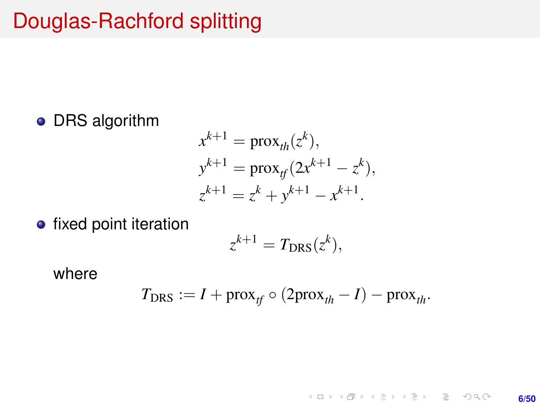# Douglas-Rachford splitting

### **•** DRS algorithm

$$
x^{k+1} = \text{prox}_{th}(z^k),
$$
  
\n
$$
y^{k+1} = \text{prox}_{tf}(2x^{k+1} - z^k),
$$
  
\n
$$
z^{k+1} = z^k + y^{k+1} - x^{k+1}.
$$

• fixed point iteration

$$
z^{k+1} = T_{\text{DRS}}(z^k),
$$

where

$$
T_{\text{DRS}} := I + \text{prox}_{tf} \circ (2\text{prox}_{th} - I) - \text{prox}_{th}.
$$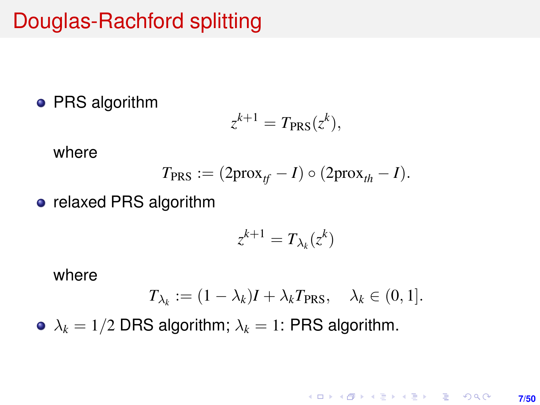## Douglas-Rachford splitting

#### • PRS algorithm

$$
z^{k+1} = T_{\text{PRS}} (z^k),
$$

where

$$
T_{\text{PRS}} := (2\text{prox}_{tf} - I) \circ (2\text{prox}_{th} - I).
$$

• relaxed PRS algorithm

$$
z^{k+1} = T_{\lambda_k}(z^k)
$$

where

$$
T_{\lambda_k} := (1 - \lambda_k)I + \lambda_k T_{\text{PRS}}, \quad \lambda_k \in (0, 1].
$$

•  $\lambda_k = 1/2$  DRS algorithm;  $\lambda_k = 1$ : PRS algorithm.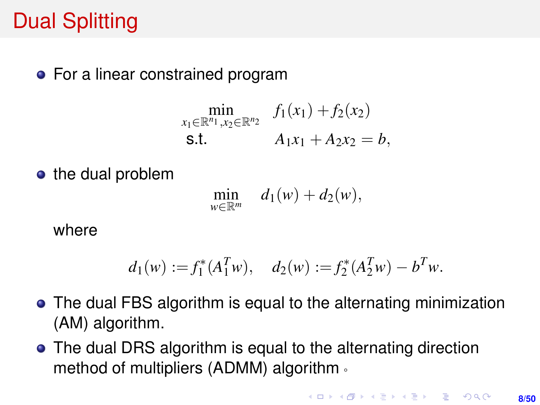# Dual Splitting

• For a linear constrained program

$$
\min_{\substack{x_1 \in \mathbb{R}^{n_1}, x_2 \in \mathbb{R}^{n_2} \\ \text{s.t.}}} f_1(x_1) + f_2(x_2)
$$
\n
$$
A_1x_1 + A_2x_2 = b,
$$

• the dual problem

$$
\min_{w\in\mathbb{R}^m} \quad d_1(w)+d_2(w),
$$

where

$$
d_1(w) := f_1^*(A_1^T w), \quad d_2(w) := f_2^*(A_2^T w) - b^T w.
$$

- The dual FBS algorithm is equal to the alternating minimization (AM) algorithm.
- The dual DRS algorithm is equal to the alternating direction method of multipliers (ADMM) algorithm。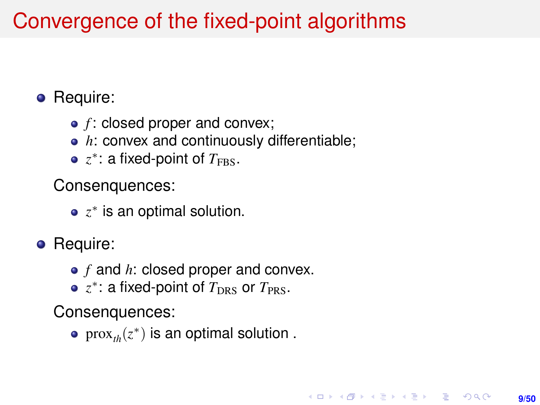# Convergence of the fixed-point algorithms

### • Require:

- *f* : closed proper and convex;
- *h*: convex and continuously differentiable;
- $z^*$ : a fixed-point of  $T_{\rm FBS}$ .

Consenquences:

- *z* ∗ is an optimal solution.
- Require:
	- *f* and *h*: closed proper and convex.
	- *z* ∗ : a fixed-point of *T*DRS or *T*PRS.

Consenquences:

 $\mathrm{prox}_{\iota h}(z^*)$  is an optimal solution .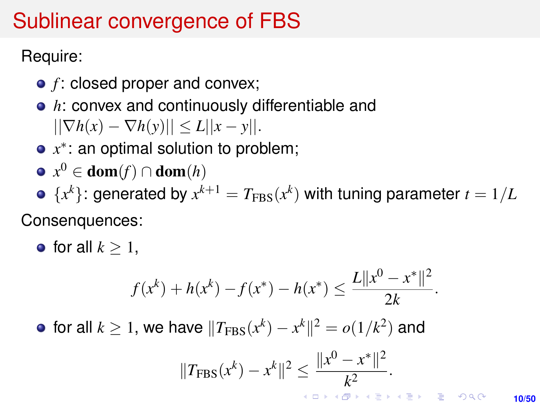# <span id="page-9-0"></span>Sublinear convergence of FBS

Require:

- *f* : closed proper and convex;
- *h*: convex and continuously differentiable and  $||\nabla h(x) - \nabla h(y)|| \leq L||x - y||.$
- *x* ∗ : an optimal solution to problem;
- $x^0 \in \textbf{dom}(f) \cap \textbf{dom}(h)$
- ${x^k}$ : generated by  $x^{k+1} = T_{\text{FBS}}(x^k)$  with tuning parameter  $t = 1/L$

Consenquences:

• for all  $k > 1$ .

$$
f(x^{k}) + h(x^{k}) - f(x^{*}) - h(x^{*}) \le \frac{L||x^{0} - x^{*}||^{2}}{2k}.
$$

for all  $k\geq 1$ , we have  $\|T_{\mathrm{FBS}}(x^k)-x^k\|^2=o(1/k^2)$  and

$$
||T_{\text{FBS}}(x^k) - x^k||^2 \le \frac{||x^0 - x^*||^2}{k^2}.
$$

**10/50**

 $2Q$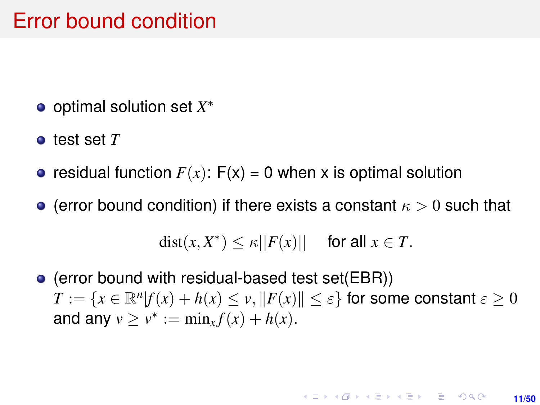### Error bound condition

- optimal solution set *X* ∗
- test set *T*
- residual function  $F(x)$ :  $F(x) = 0$  when x is optimal solution
- **•** (error bound condition) if there exists a constant  $\kappa > 0$  such that

 $dist(x, X^*) \leq \kappa ||F(x)||$  for all  $x \in T$ .

(error bound with residual-based test set(EBR))  $T := \{x \in \mathbb{R}^n | f(x) + h(x) \le v, ||F(x)|| \le \varepsilon\}$  for some constant  $\varepsilon \ge 0$ and any  $v \ge v^* := \min_x f(x) + h(x)$ .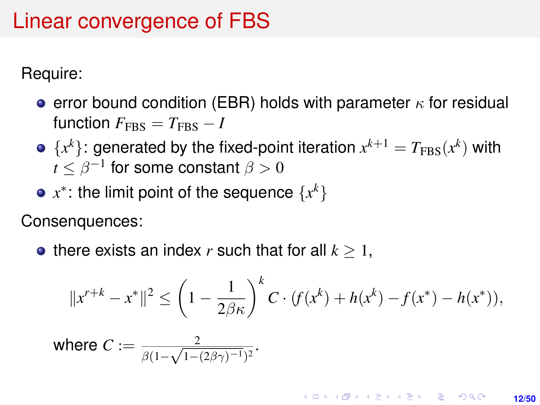## Linear convergence of FBS

Require:

- e error bound condition (EBR) holds with parameter  $\kappa$  for residual  $f$ unction  $F_{\text{FRS}} = T_{\text{FRS}} - I$
- ${x^k}$ : generated by the fixed-point iteration  $x^{k+1} = T_{\text{FBS}}(x^k)$  with  $t\leq \beta^{-1}$  for some constant  $\beta>0$
- *x* ∗ : the limit point of the sequence {*x k*}

Consenquences:

• there exists an index  $r$  such that for all  $k \geq 1$ ,

$$
||x^{r+k} - x^*||^2 \le \left(1 - \frac{1}{2\beta\kappa}\right)^k C \cdot (f(x^k) + h(x^k) - f(x^*) - h(x^*)),
$$

where 
$$
C:=\frac{2}{\beta(1-\sqrt{1-(2\beta\gamma)^{-1}})^2}.
$$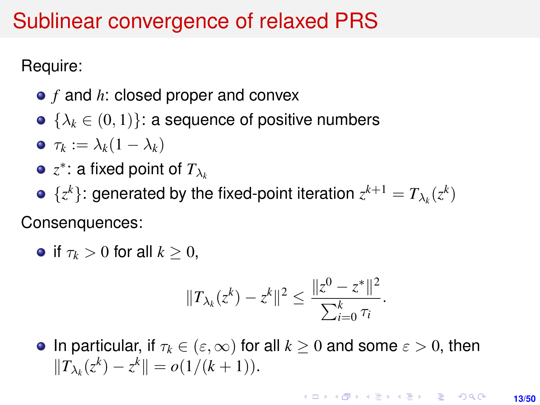### Sublinear convergence of relaxed PRS

Require:

- *f* and *h*: closed proper and convex
- $\bullet \ \{\lambda_k \in (0,1)\}$ : a sequence of positive numbers

$$
\bullet \ \tau_k := \lambda_k (1 - \lambda_k)
$$

- $z^*$ : a fixed point of  $T_{\lambda_k}$
- $\{z^k\}$ : generated by the fixed-point iteration  $z^{k+1} = T_{\lambda_k}(z^k)$

Consenquences:

**•** if  $\tau_k > 0$  for all  $k > 0$ ,

$$
||T_{\lambda_k}(z^k) - z^k||^2 \le \frac{||z^0 - z^*||^2}{\sum_{i=0}^k \tau_i}.
$$

**In particular, if**  $\tau_k \in (\varepsilon, \infty)$  for all  $k \geq 0$  and some  $\varepsilon > 0$ , then  $||T_{\lambda_k}(z^k) - z^k|| = o(1/(k+1)).$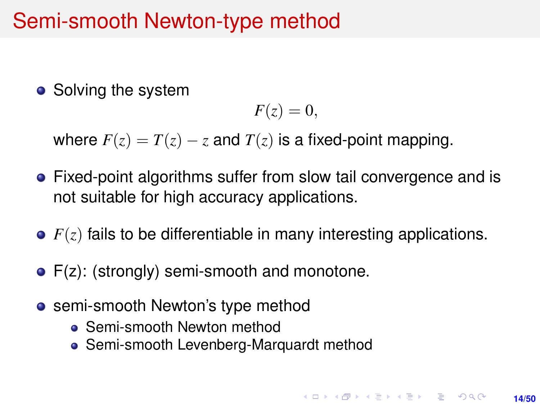• Solving the system

$$
F(z)=0,
$$

where  $F(z) = T(z) - z$  and  $T(z)$  is a fixed-point mapping.

- Fixed-point algorithms suffer from slow tail convergence and is not suitable for high accuracy applications.
- *F*(*z*) fails to be differentiable in many interesting applications.
- F(z): (strongly) semi-smooth and monotone.
- **•** semi-smooth Newton's type method
	- Semi-smooth Newton method
	- Semi-smooth Levenberg-Marquardt method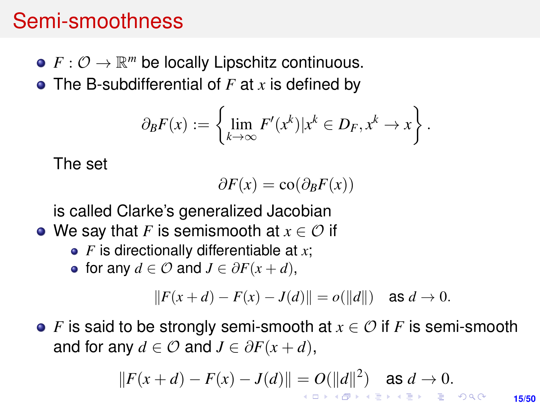### Semi-smoothness

- $F: \mathcal{O} \to \mathbb{R}^m$  be locally Lipschitz continuous.
- The B-subdifferential of *F* at *x* is defined by

$$
\partial_B F(x) := \left\{ \lim_{k \to \infty} F'(x^k) | x^k \in D_F, x^k \to x \right\}.
$$

The set

$$
\partial F(x) = \text{co}(\partial_B F(x))
$$

is called Clarke's generalized Jacobian

- We say that *F* is semismooth at  $x \in \mathcal{O}$  if
	- *F* is directionally differentiable at *x*;
	- for any  $d \in \mathcal{O}$  and  $J \in \partial F(x+d)$ ,

$$
||F(x+d) - F(x) - J(d)|| = o(||d||) \text{ as } d \to 0.
$$

*F* is said to be strongly semi-smooth at *x* ∈ O if *F* is semi-smooth and for any  $d \in \mathcal{O}$  and  $J \in \partial F(x+d)$ ,

$$
||F(x+d)-F(x)-J(d)||=O(||d||^2) \text{ as } d\to 0.
$$

**15/50**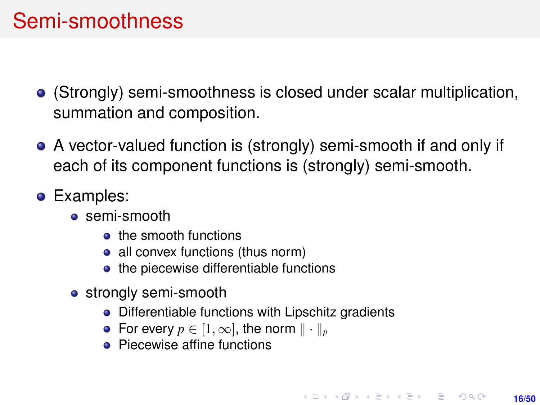## Semi-smoothness

- (Strongly) semi-smoothness is closed under scalar multiplication, summation and composition.
- A vector-valued function is (strongly) semi-smooth if and only if each of its component functions is (strongly) semi-smooth.
- **•** Examples:
	- **s** semi-smooth
		- **o** the smooth functions
		- all convex functions (thus norm)
		- the piecewise differentiable functions
	- strongly semi-smooth
		- Differentiable functions with Lipschitz gradients
		- For every  $p \in [1, \infty]$ , the norm  $\|\cdot\|_p$
		- Piecewise affine functions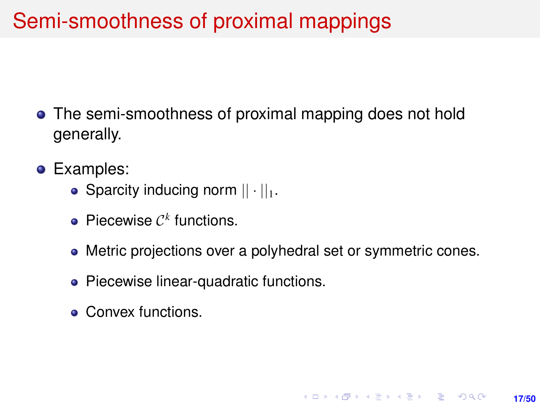# Semi-smoothness of proximal mappings

- The semi-smoothness of proximal mapping does not hold generally.
- **•** Examples:
	- Sparcity inducing norm  $|| \cdot ||_1$ .
	- Piecewise  $C<sup>k</sup>$  functions.
	- Metric projections over a polyhedral set or symmetric cones.

**17/50**

**KORKARK A BIK BIKA A GA A GA A GA A BIKA A BIKA A BIKA A BIKA A BIKA A BIKA A BIKA A BIKA A BIKA A BIKA A BIKA** 

- Piecewise linear-quadratic functions.
- Convex functions.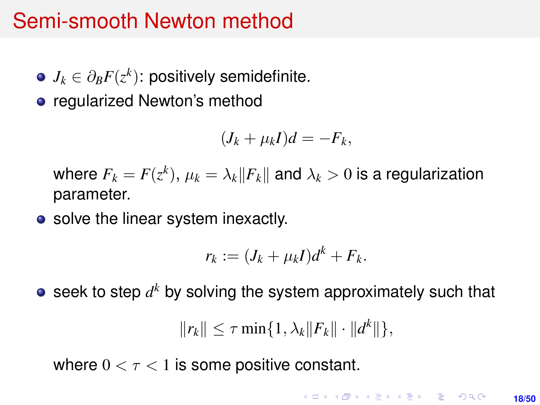- $J_k \in \partial_B F(z^k)$ : positively semidefinite.
- regularized Newton's method

$$
(J_k + \mu_k I)d = -F_k,
$$

where  $F_k = F(z^k)$ ,  $\mu_k = \lambda_k ||F_k||$  and  $\lambda_k > 0$  is a regularization parameter.

• solve the linear system inexactly.

$$
r_k := (J_k + \mu_k I)d^k + F_k.
$$

seek to step  $d^k$  by solving the system approximately such that

$$
||r_k|| \leq \tau \min\{1, \lambda_k ||F_k|| \cdot ||d^k||\},\
$$

where  $0 < \tau < 1$  is some positive constant.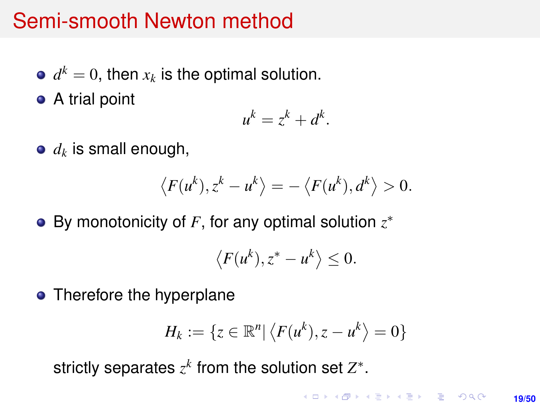- $d^k = 0$ , then  $x_k$  is the optimal solution.
- A trial point

$$
u^k = z^k + d^k.
$$

*d<sup>k</sup>* is small enough,

$$
\langle F(u^k), z^k - u^k \rangle = -\langle F(u^k), d^k \rangle > 0.
$$

By monotonicity of *F*, for any optimal solution *z* ∗

$$
\langle F(u^k), z^* - u^k \rangle \leq 0.
$$

• Therefore the hyperplane

$$
H_k := \{ z \in \mathbb{R}^n \vert \langle F(u^k), z - u^k \rangle = 0 \}
$$

strictly separates  $z^k$  from the solution set  $Z^*$ .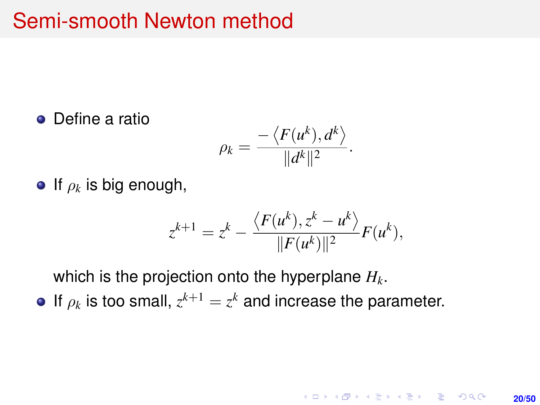• Define a ratio

$$
\rho_k = \frac{-\langle F(u^k), d^k \rangle}{\|d^k\|^2}.
$$

 $\bullet$  If  $\rho_k$  is big enough,

$$
z^{k+1} = z^k - \frac{\langle F(u^k), z^k - u^k \rangle}{\|F(u^k)\|^2} F(u^k),
$$

**20/50**

**KORKARK KERKER DRAM** 

which is the projection onto the hyperplane *Hk*.

If  $\rho_k$  is too small,  $z^{k+1} = z^k$  and increase the parameter.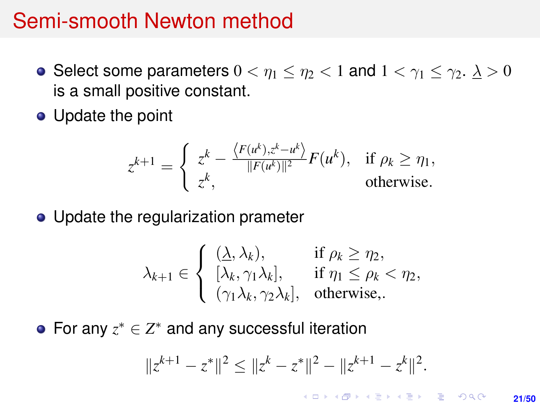- Select some parameters  $0 < \eta_1 \leq \eta_2 < 1$  and  $1 < \gamma_1 \leq \gamma_2$ .  $\lambda > 0$ is a small positive constant.
- Update the point

$$
z^{k+1} = \begin{cases} z^k - \frac{\langle F(u^k), z^k - u^k \rangle}{\|F(u^k)\|^2} F(u^k), & \text{if } \rho_k \ge \eta_1, \\ z^k, & \text{otherwise.} \end{cases}
$$

• Update the regularization prameter

$$
\lambda_{k+1} \in \left\{ \begin{array}{ll} (\underline{\lambda}, \lambda_k), & \text{if } \rho_k \geq \eta_2, \\ [\lambda_k, \gamma_1 \lambda_k], & \text{if } \eta_1 \leq \rho_k < \eta_2, \\ (\gamma_1 \lambda_k, \gamma_2 \lambda_k], & \text{otherwise,.} \end{array} \right.
$$

For any  $z^* \in Z^*$  and any successful iteration

$$
||z^{k+1} - z^*||^2 \le ||z^k - z^*||^2 - ||z^{k+1} - z^k||^2.
$$

KO KARK KEK LE KORA **21/50**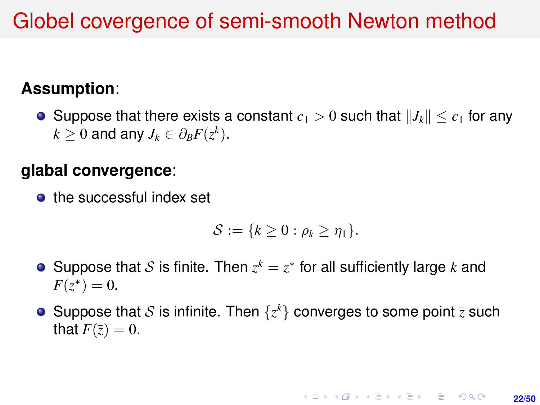## Globel covergence of semi-smooth Newton method

### **Assumption**:

**•** Suppose that there exists a constant  $c_1 > 0$  such that  $||J_k|| \leq c_1$  for any  $k \geq 0$  and any  $J_k \in \partial_B F(z^k)$ .

#### **glabal convergence**:

**the successful index set** 

$$
\mathcal{S}:=\{k\geq 0: \rho_k\geq \eta_1\}.
$$

- Suppose that S is finite. Then  $z^k = z^*$  for all sufficiently large k and  $F(z^*) = 0.$
- Suppose that S is infinite. Then  $\{z^k\}$  converges to some point  $\bar{z}$  such that  $F(\overline{z}) = 0$ .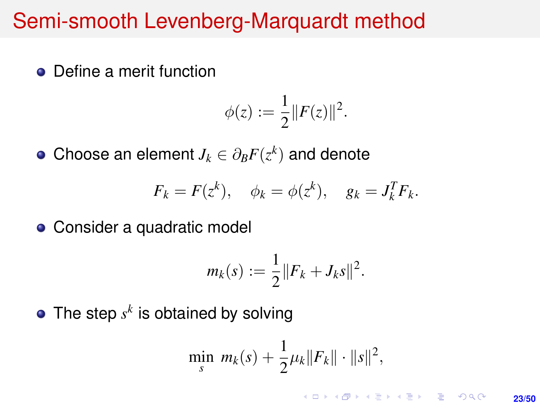• Define a merit function

$$
\phi(z) := \frac{1}{2} ||F(z)||^2.
$$

Choose an element  $J_k \in \partial_B F(z^k)$  and denote

$$
F_k = F(z^k), \quad \phi_k = \phi(z^k), \quad g_k = J_k^T F_k.
$$

• Consider a quadratic model

$$
m_k(s) := \frac{1}{2} ||F_k + J_k s||^2.
$$

The step  $s^k$  is obtained by solving

$$
\min_{s} \, m_{k}(s) + \frac{1}{2}\mu_{k} \|F_{k}\| \cdot \|s\|^{2},
$$

**KORKARK A BIK BIKA A GA A GA A GA A BIKA A BIKA A BIKA A BIKA A BIKA A BIKA A BIKA A BIKA A BIKA A BIKA A BIKA 23/50**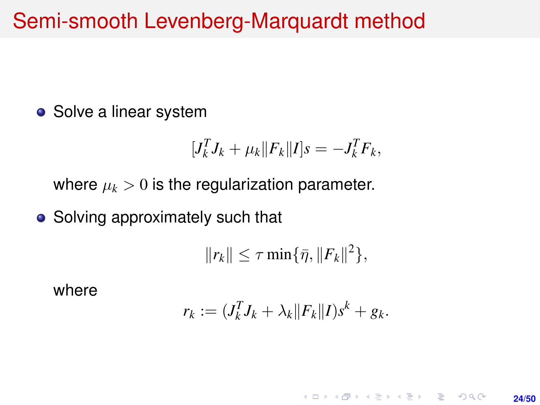• Solve a linear system

$$
[J_k^T J_k + \mu_k ||F_k||I]s = -J_k^T F_k,
$$

where  $\mu_k > 0$  is the regularization parameter.

• Solving approximately such that

 $||r_k|| \leq \tau \min{\{\bar{\eta}, ||F_k||^2\}},$ 

where

$$
r_k := (J_k^T J_k + \lambda_k ||F_k|| I) s^k + g_k.
$$

**KORKARK A BIK BIKA A GA A GA A GA A BIKA A BIKA A BIKA A BIKA A BIKA A BIKA A BIKA A BIKA A BIKA A BIKA A BIKA 24/50**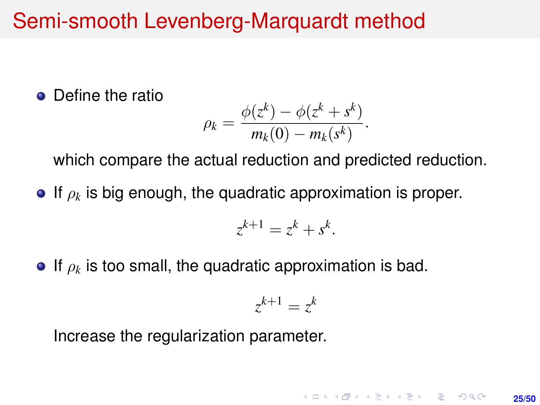• Define the ratio

$$
\rho_k = \frac{\phi(z^k) - \phi(z^k + s^k)}{m_k(0) - m_k(s^k)}.
$$

which compare the actual reduction and predicted reduction.

 $\bullet$  If  $\rho_k$  is big enough, the quadratic approximation is proper.

$$
z^{k+1} = z^k + s^k.
$$

**If**  $\rho_k$  is too small, the quadratic approximation is bad.

$$
z^{k+1} = z^k
$$

**KORKARK A BIK BIKA A GA A GA A GA A BIKA A BIKA A BIKA A BIKA A BIKA A BIKA A BIKA A BIKA A BIKA A BIKA A BIKA** 

**25/50**

Increase the regularization parameter.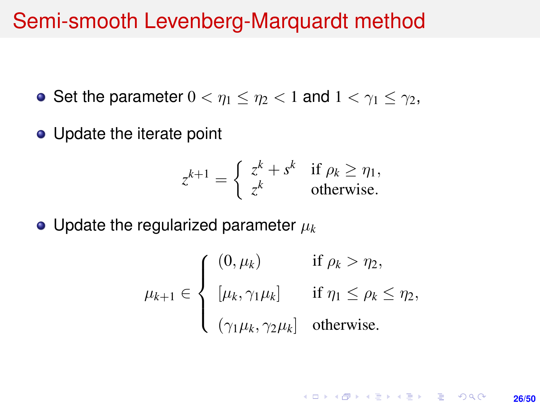- Set the parameter  $0 < \eta_1 \leq \eta_2 < 1$  and  $1 < \eta_1 \leq \eta_2$ ,
- Update the iterate point

$$
z^{k+1} = \begin{cases} z^k + s^k & \text{if } \rho_k \ge \eta_1, \\ z^k & \text{otherwise.} \end{cases}
$$

 $\bullet$  Update the regularized parameter  $\mu_k$ 

$$
\mu_{k+1} \in \begin{cases}\n(0, \mu_k) & \text{if } \rho_k > \eta_2, \\
[\mu_k, \gamma_1 \mu_k] & \text{if } \eta_1 \le \rho_k \le \eta_2, \\
(\gamma_1 \mu_k, \gamma_2 \mu_k) & \text{otherwise.} \n\end{cases}
$$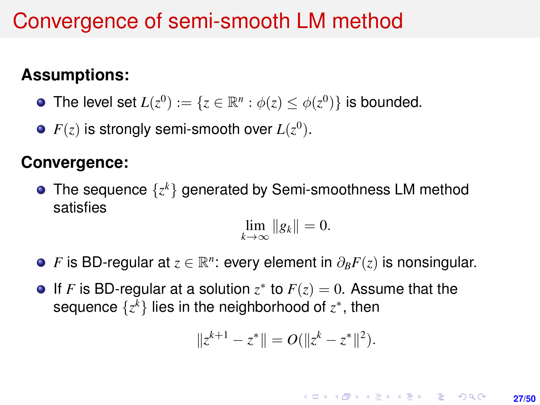## Convergence of semi-smooth LM method

### **Assumptions:**

The level set  $L(z^0) := \{z \in \mathbb{R}^n : \phi(z) \leq \phi(z^0)\}$  is bounded.

 $F(z)$  is strongly semi-smooth over  $L(z^0).$ 

#### **Convergence:**

The sequence {*z <sup>k</sup>*} generated by Semi-smoothness LM method satisfies

$$
\lim_{k\to\infty}||g_k||=0.
$$

- *F* is BD-regular at  $z \in \mathbb{R}^n$ : every element in  $\partial_B F(z)$  is nonsingular.
- If *F* is BD-regular at a solution  $z^*$  to  $F(z) = 0$ . Assume that the sequence  $\{z^k\}$  lies in the neighborhood of  $z^*$ , then

$$
||z^{k+1} - z^*|| = O(||z^k - z^*||^2).
$$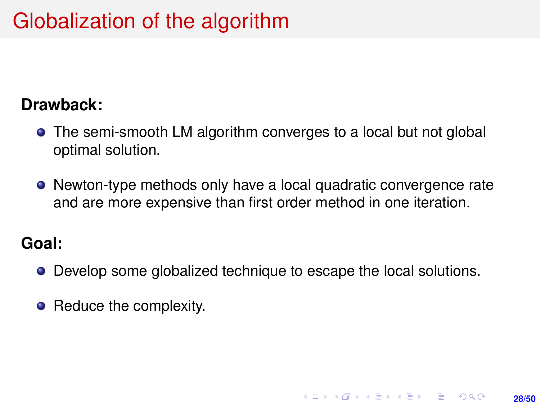# Globalization of the algorithm

#### **Drawback:**

- The semi-smooth LM algorithm converges to a local but not global optimal solution.
- Newton-type methods only have a local quadratic convergence rate and are more expensive than first order method in one iteration.

#### **Goal:**

**•** Develop some globalized technique to escape the local solutions.

**28/50**

**KORKARK A BIK BIKA A GA A GA A GA A BIKA A BIKA A BIKA A BIKA A BIKA A BIKA A BIKA A BIKA A BIKA A BIKA A BIKA** 

• Reduce the complexity.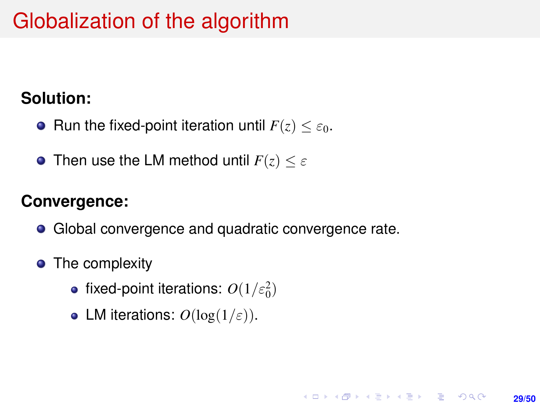# Globalization of the algorithm

#### **Solution:**

- **•** Run the fixed-point iteration until  $F(z) < \varepsilon_0$ .
- **•** Then use the LM method until  $F(z) \leq \varepsilon$

#### **Convergence:**

• Global convergence and quadratic convergence rate.

**29/50**

**KORKARK KERKER DRAM** 

- The complexity
	- fixed-point iterations:  $O(1/\varepsilon_0^2)$
	- LM iterations:  $O(\log(1/\varepsilon))$ .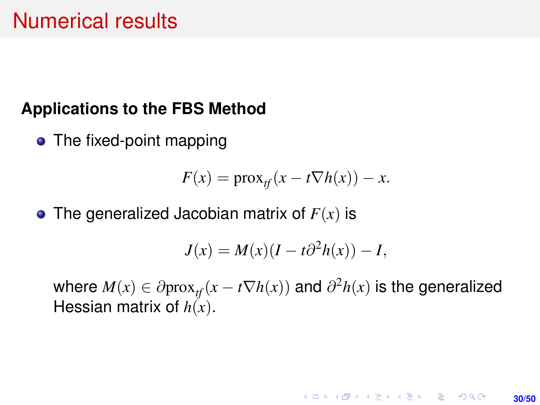### **Applications to the FBS Method**

• The fixed-point mapping

$$
F(x) = \text{prox}_{tf}(x - t \nabla h(x)) - x.
$$

• The generalized Jacobian matrix of  $F(x)$  is

$$
J(x) = M(x)(I - t\partial^2 h(x)) - I,
$$

where  $M(x) \in \partial \text{prox}_{\textit{tf}}(x - t \nabla h(x))$  and  $\partial^2 h(x)$  is the generalized Hessian matrix of *h*(*x*).

**30/50**

**KORKARK A BIK BIKA A GA A GA A GA A BIKA A BIKA A BIKA A BIKA A BIKA A BIKA A BIKA A BIKA A BIKA A BIKA A BIKA**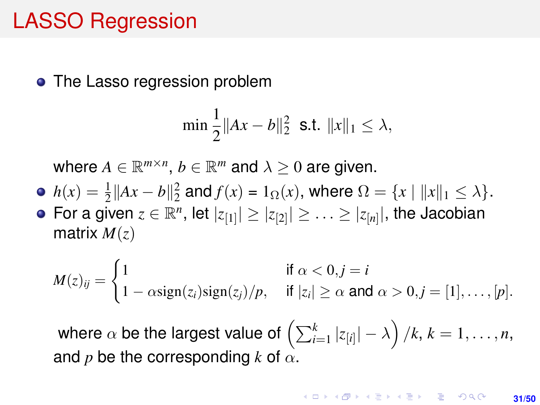## LASSO Regression

• The Lasso regression problem

$$
\min \frac{1}{2} \|Ax - b\|_2^2 \text{ s.t. } \|x\|_1 \le \lambda,
$$

where  $A \in \mathbb{R}^{m \times n}$ ,  $b \in \mathbb{R}^m$  and  $\lambda \geq 0$  are given.

- $h(x) = \frac{1}{2} ||Ax b||_2^2$  and  $f(x) = 1_{\Omega}(x)$ , where  $\Omega = \{x \mid ||x||_1 \le \lambda\}.$
- For a given  $z \in \mathbb{R}^n$ , let  $|z_{[1]}| \geq |z_{[2]}| \geq \ldots \geq |z_{[n]}|$ , the Jacobian matrix *M*(*z*)

$$
M(z)_{ij} = \begin{cases} 1 & \text{if } \alpha < 0, j = i \\ 1 - \alpha \text{sign}(z_i) \text{sign}(z_j)/p, & \text{if } |z_i| \ge \alpha \text{ and } \alpha > 0, j = [1], \ldots, [p]. \end{cases}
$$

where  $\alpha$  be the largest value of  $\left( \sum_{i=1}^k |z_{[i]}| - \lambda \right) / k, \, k = 1, \ldots, n,$ and *p* be the corresponding *k* of  $\alpha$ .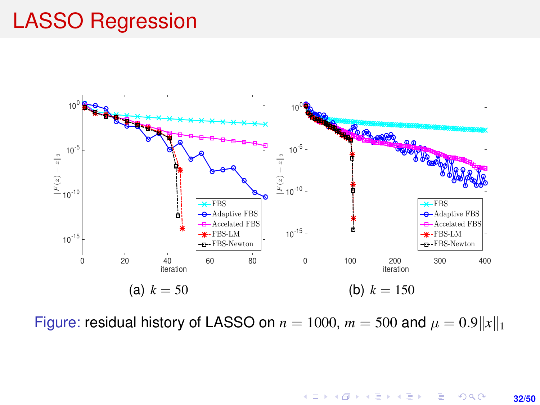## LASSO Regression



Figure: residual history of LASSO on  $n = 1000$ ,  $m = 500$  and  $\mu = 0.9||x||_1$ 

 $299$ **32/50**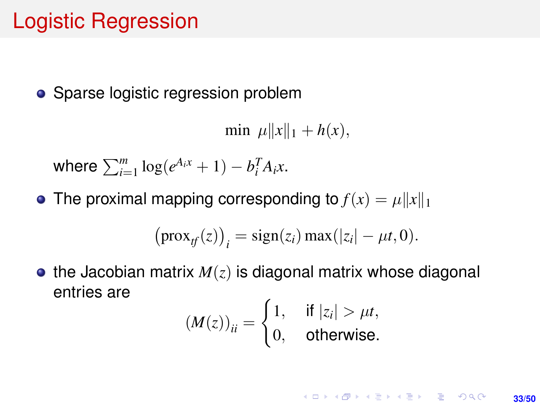## Logistic Regression

• Sparse logistic regression problem

min  $\mu \|x\|_1 + h(x)$ ,

where  $\sum_{i=1}^{m} \log(e^{A_i x} + 1) - b_i^T A_i x$ .

• The proximal mapping corresponding to  $f(x) = \mu ||x||_1$ 

$$
\big(\text{prox}_{tf}(z)\big)_i = \text{sign}(z_i)\max(|z_i| - \mu t, 0).
$$

 $\bullet$  the Jacobian matrix  $M(z)$  is diagonal matrix whose diagonal entries are

$$
(M(z))_{ii} = \begin{cases} 1, & \text{if } |z_i| > \mu t, \\ 0, & \text{otherwise.} \end{cases}
$$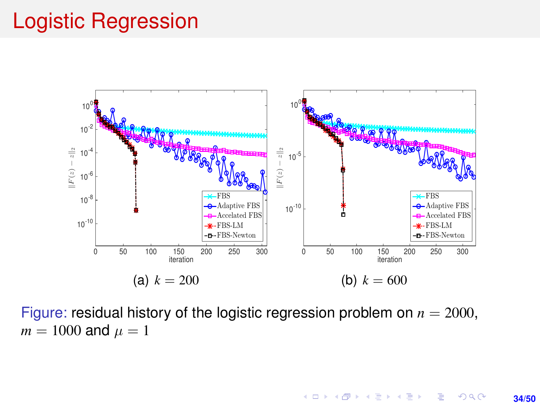## Logistic Regression



Figure: residual history of the logistic regression problem on  $n = 2000$ ,  $m = 1000$  and  $\mu = 1$ 

> イロト イ押 トイヨ トイヨ トーヨー  $2990$ **34/50**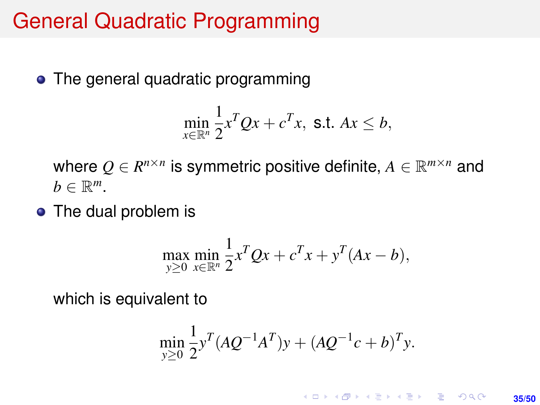## General Quadratic Programming

• The general quadratic programming

$$
\min_{x \in \mathbb{R}^n} \frac{1}{2} x^T Q x + c^T x, \text{ s.t. } Ax \leq b,
$$

where  $Q \in R^{n \times n}$  is symmetric positive definite,  $A \in \mathbb{R}^{m \times n}$  and  $b \in \mathbb{R}^m$ .

• The dual problem is

$$
\max_{y \ge 0} \min_{x \in \mathbb{R}^n} \frac{1}{2} x^T Q x + c^T x + y^T (Ax - b),
$$

which is equivalent to

$$
\min_{y\geq 0} \frac{1}{2} y^T (AQ^{-1}A^T)y + (AQ^{-1}c + b)^T y.
$$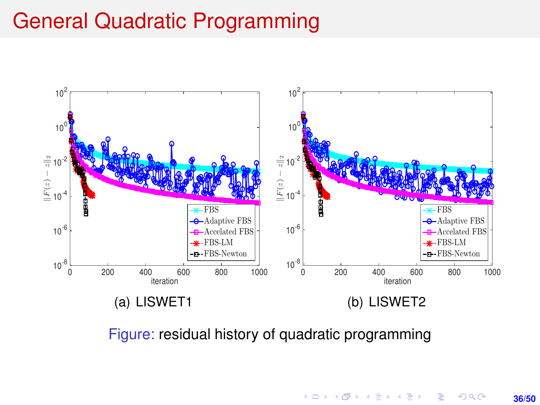### General Quadratic Programming



Figure: residual history of quadratic programming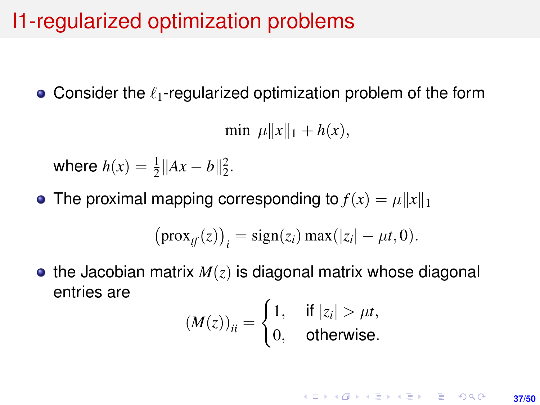• Consider the  $\ell_1$ -regularized optimization problem of the form

min  $\mu \|x\|_1 + h(x)$ ,

where  $h(x) = \frac{1}{2} ||Ax - b||_2^2$ .

• The proximal mapping corresponding to  $f(x) = \mu \|x\|_1$ 

$$
\big(\text{prox}_{tf}(z)\big)_i = \text{sign}(z_i) \max(|z_i| - \mu t, 0).
$$

 $\bullet$  the Jacobian matrix  $M(z)$  is diagonal matrix whose diagonal entries are

$$
(M(z))_{ii} = \begin{cases} 1, & \text{if } |z_i| > \mu t, \\ 0, & \text{otherwise.} \end{cases}
$$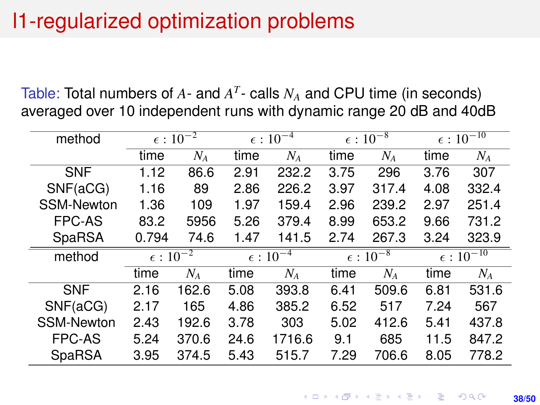Table: Total numbers of  $A$ - and  $A<sup>T</sup>$ - calls  $N_A$  and CPU time (in seconds) averaged over 10 independent runs with dynamic range 20 dB and 40dB

| method            | $\epsilon$ : $10^{-2}$        |       | $\epsilon$ : $10^{-4}$ |        | $\epsilon$ : $10^{-8}$ |       | $\epsilon:1\overline{0^{-10}}$ |       |
|-------------------|-------------------------------|-------|------------------------|--------|------------------------|-------|--------------------------------|-------|
|                   | time                          | $N_A$ | time                   | $N_A$  | time                   | $N_A$ | time                           | $N_A$ |
| <b>SNF</b>        | 1.12                          | 86.6  | 2.91                   | 232.2  | 3.75                   | 296   | 3.76                           | 307   |
| SNF(aCG)          | 1.16                          | 89    | 2.86                   | 226.2  | 3.97                   | 317.4 | 4.08                           | 332.4 |
| <b>SSM-Newton</b> | 1.36                          | 109   | 1.97                   | 159.4  | 2.96                   | 239.2 | 2.97                           | 251.4 |
| <b>FPC-AS</b>     | 83.2                          | 5956  | 5.26                   | 379.4  | 8.99                   | 653.2 | 9.66                           | 731.2 |
| SpaRSA            | 0.794                         | 74.6  | 1.47                   | 141.5  | 2.74                   | 267.3 | 3.24                           | 323.9 |
| method            | $\epsilon$ : 10 <sup>-2</sup> |       | $\epsilon$ : $10^{-4}$ |        | $\epsilon$ : $10^{-8}$ |       | $\epsilon$ : $10^{-10}$        |       |
|                   | time                          | $N_A$ | time                   | $N_A$  | time                   | $N_A$ | time                           | $N_A$ |
| <b>SNF</b>        | 2.16                          | 162.6 | 5.08                   | 393.8  | 6.41                   | 509.6 | 6.81                           | 531.6 |
| SNF(aCG)          | 2.17                          | 165   | 4.86                   | 385.2  | 6.52                   | 517   | 7.24                           | 567   |
| <b>SSM-Newton</b> | 2.43                          | 192.6 | 3.78                   | 303    | 5.02                   | 412.6 | 5.41                           | 437.8 |
| <b>FPC-AS</b>     | 5.24                          | 370.6 | 24.6                   | 1716.6 | 9.1                    | 685   | 11.5                           | 847.2 |
| <b>SpaRSA</b>     | 3.95                          | 374.5 | 5.43                   | 515.7  | 7.29                   | 706.6 | 8.05                           | 778.2 |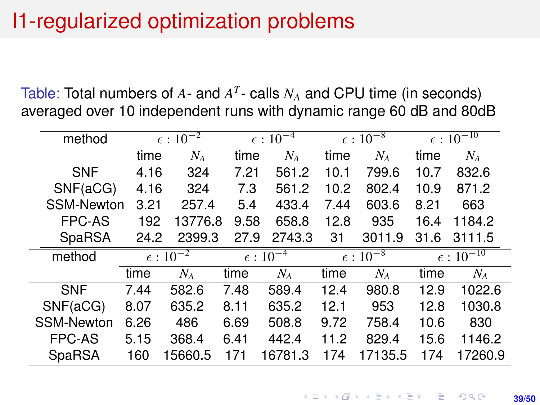Table: Total numbers of  $A$ - and  $A<sup>T</sup>$ - calls  $N_A$  and CPU time (in seconds) averaged over 10 independent runs with dynamic range 60 dB and 80dB

| method            |                        | $\epsilon$ : $10^{-2}$ |      | $\epsilon$ : 10 <sup><math>-4</math></sup> |      | $\epsilon$ : $10^{-8}$ |      | $\epsilon:1\overline{0^{-10}}$ |  |
|-------------------|------------------------|------------------------|------|--------------------------------------------|------|------------------------|------|--------------------------------|--|
|                   | time                   | $N_A$                  | time | $N_A$                                      | time | $N_A$                  | time | $N_A$                          |  |
| <b>SNF</b>        | 4.16                   | 324                    | 7.21 | 561.2                                      | 10.1 | 799.6                  | 10.7 | 832.6                          |  |
| SNF(aCG)          | 4.16                   | 324                    | 7.3  | 561.2                                      | 10.2 | 802.4                  | 10.9 | 871.2                          |  |
| <b>SSM-Newton</b> | 3.21                   | 257.4                  | 5.4  | 433.4                                      | 7.44 | 603.6                  | 8.21 | 663                            |  |
| <b>FPC-AS</b>     | 192                    | 13776.8                | 9.58 | 658.8                                      | 12.8 | 935                    | 16.4 | 1184.2                         |  |
| SpaRSA            | 24.2                   | 2399.3                 | 27.9 | 2743.3                                     | 31   | 3011.9                 | 31.6 | 3111.5                         |  |
| method            | $\epsilon$ : $10^{-2}$ |                        |      | $\epsilon$ : $10^{-4}$                     |      | $\epsilon$ : $10^{-8}$ |      | $\epsilon$ : $10^{-10}$        |  |
|                   | time                   | $N_A$                  | time | $N_A$                                      | time | $N_A$                  | time | $N_A$                          |  |
| <b>SNF</b>        | 7.44                   | 582.6                  | 7.48 | 589.4                                      | 12.4 | 980.8                  | 12.9 | 1022.6                         |  |
| SNF(aCG)          | 8.07                   | 635.2                  | 8.11 | 635.2                                      | 12.1 | 953                    | 12.8 | 1030.8                         |  |
| <b>SSM-Newton</b> | 6.26                   | 486                    | 6.69 | 508.8                                      | 9.72 | 758.4                  | 10.6 | 830                            |  |
| <b>FPC-AS</b>     | 5.15                   | 368.4                  | 6.41 | 442.4                                      | 11.2 | 829.4                  | 15.6 | 1146.2                         |  |
| SpaRSA            | 160                    | 15660.5                | 171  | 16781.3                                    | 174  | 17135.5                | 174  | 17260.9                        |  |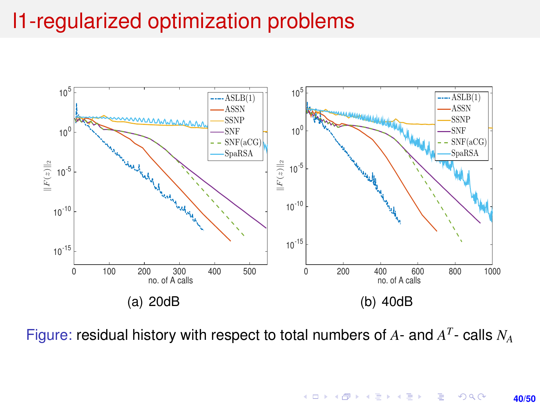

Figure: residual history with respect to total numbers of *A*- and *A T* - calls *N<sup>A</sup>*

 $A \equiv \lambda$   $A \equiv \lambda$   $A \equiv \lambda$   $A \equiv \lambda$ E  $2990$ **40/50**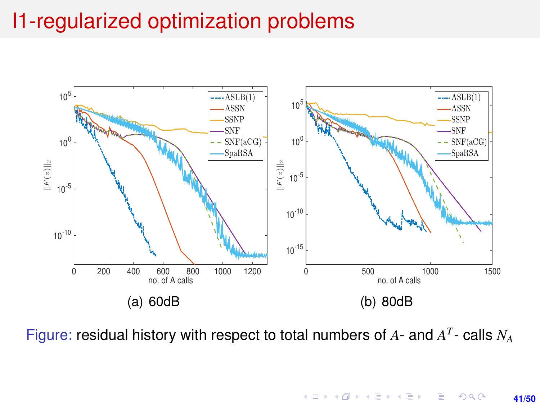

Figure: residual history with respect to total numbers of *A*- and *A T* - calls *N<sup>A</sup>*

 $4$  ロ }  $4$   $6$  }  $4$   $\equiv$  }  $4$   $\equiv$  }  $\equiv$  $299$ **41/50**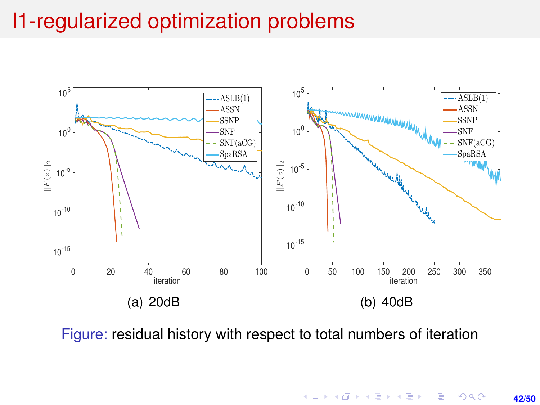

Figure: residual history with respect to total numbers of iteration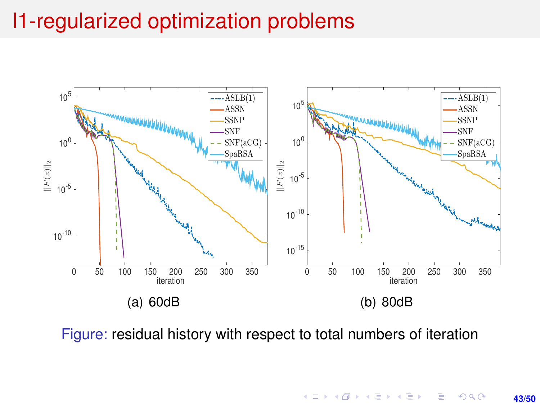

Figure: residual history with respect to total numbers of iteration

 $A \equiv \lambda$   $A \equiv \lambda$   $A \equiv \lambda$   $A \equiv \lambda$ E  $299$ **43/50**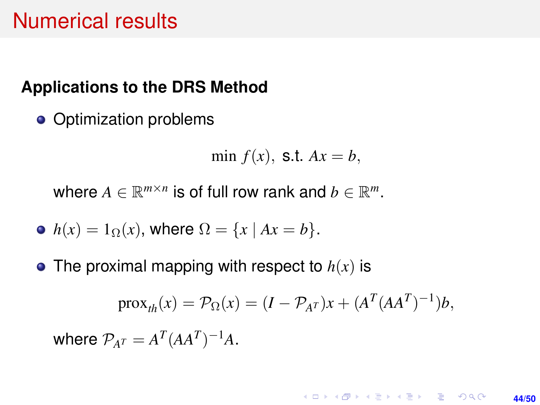### Numerical results

#### **Applications to the DRS Method**

• Optimization problems

min  $f(x)$ , **s.t.**  $Ax = b$ ,

where  $A \in \mathbb{R}^{m \times n}$  is of full row rank and  $b \in \mathbb{R}^m$ .

- $h(x) = 1_{\Omega}(x)$ , where  $\Omega = \{x \mid Ax = b\}.$
- The proximal mapping with respect to  $h(x)$  is

$$
\operatorname{prox}_{th}(x) = \mathcal{P}_{\Omega}(x) = (I - \mathcal{P}_{A^T})x + (A^T (AA^T)^{-1})b,
$$

where  $\mathcal{P}_{A^T} = A^T (A A^T)^{-1} A$ .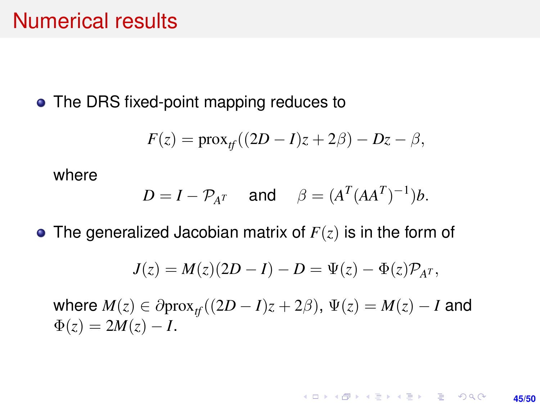### Numerical results

• The DRS fixed-point mapping reduces to

$$
F(z) = \text{prox}_{tf}((2D - I)z + 2\beta) - Dz - \beta,
$$

where

$$
D = I - \mathcal{P}_{A^T} \quad \text{and} \quad \beta = (A^T (AA^T)^{-1})b.
$$

The generalized Jacobian matrix of *F*(*z*) is in the form of

$$
J(z) = M(z)(2D - I) - D = \Psi(z) - \Phi(z)\mathcal{P}_{A^T},
$$

where  $M(z) \in \partial \text{prox}_{t}(2D - I)z + 2\beta$ ,  $\Psi(z) = M(z) - I$  and  $\Phi(z) = 2M(z) - I$ .

> **KORKARK KERKER DRAM 45/50**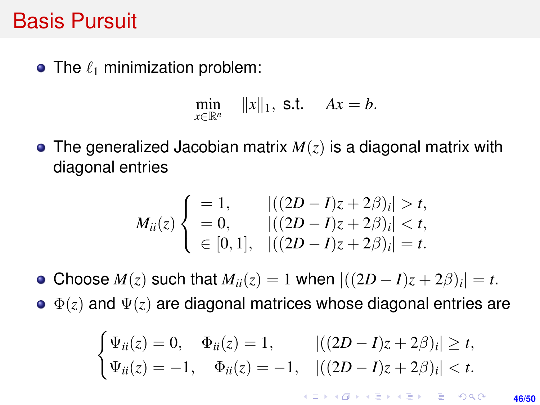### Basis Pursuit

• The  $\ell_1$  minimization problem:

$$
\min_{x\in\mathbb{R}^n} \quad ||x||_1, \text{ s.t. } Ax = b.
$$

The generalized Jacobian matrix *M*(*z*) is a diagonal matrix with diagonal entries

$$
M_{ii}(z) \begin{cases} = 1, & |((2D - I)z + 2\beta)_i| > t, \\ = 0, & |((2D - I)z + 2\beta)_i| < t, \\ \in [0, 1], & |((2D - I)z + 2\beta)_i| = t. \end{cases}
$$

Choose  $M(z)$  such that  $M_{ii}(z) = 1$  when  $|((2D - I)z + 2\beta)_i| = t$ .

 $\Phi(z)$  and  $\Psi(z)$  are diagonal matrices whose diagonal entries are

$$
\begin{cases} \Psi_{ii}(z) = 0, & \Phi_{ii}(z) = 1, & |((2D - I)z + 2\beta)_i| \ge t, \\ \Psi_{ii}(z) = -1, & \Phi_{ii}(z) = -1, & |((2D - I)z + 2\beta)_i| < t. \end{cases}
$$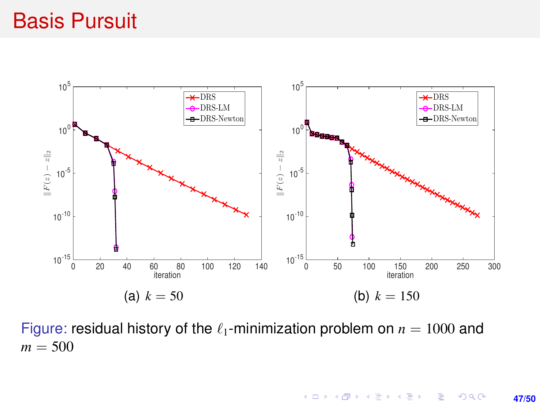### Basis Pursuit



Figure: residual history of the  $\ell_1$ -minimization problem on  $n = 1000$  and  $m = 500$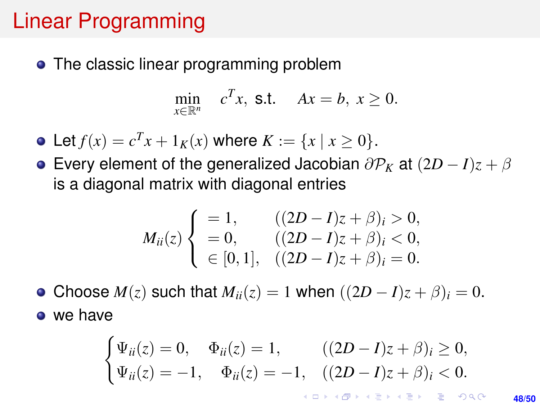## Linear Programming

• The classic linear programming problem

$$
\min_{x \in \mathbb{R}^n} \quad c^T x, \text{ s.t.} \quad Ax = b, \ x \ge 0.
$$

- Let  $f(x) = c^T x + 1_K(x)$  where  $K := \{x \mid x \ge 0\}.$
- **Every element of the generalized Jacobian**  $\partial P_K$  **at**  $(2D I)z + \beta$ is a diagonal matrix with diagonal entries

$$
M_{ii}(z) \begin{cases} = 1, & ((2D - I)z + \beta)_i > 0, \\ = 0, & ((2D - I)z + \beta)_i < 0, \\ \in [0, 1], & ((2D - I)z + \beta)_i = 0. \end{cases}
$$

• Choose  $M(z)$  such that  $M_{ii}(z) = 1$  when  $((2D - I)z + \beta)_i = 0$ . • we have

$$
\begin{cases} \Psi_{ii}(z) = 0, & \Phi_{ii}(z) = 1, & ((2D - I)z + \beta)_i \ge 0, \\ \Psi_{ii}(z) = -1, & \Phi_{ii}(z) = -1, & ((2D - I)z + \beta)_i < 0. \end{cases}
$$

**48/50**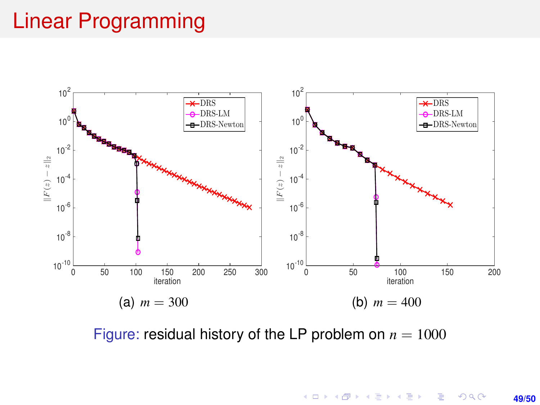# Linear Programming



Figure: residual history of the LP problem on  $n = 1000$ 

メロトメ 御 トメ 君 トメ 君 トー 君一  $299$ **49/50**